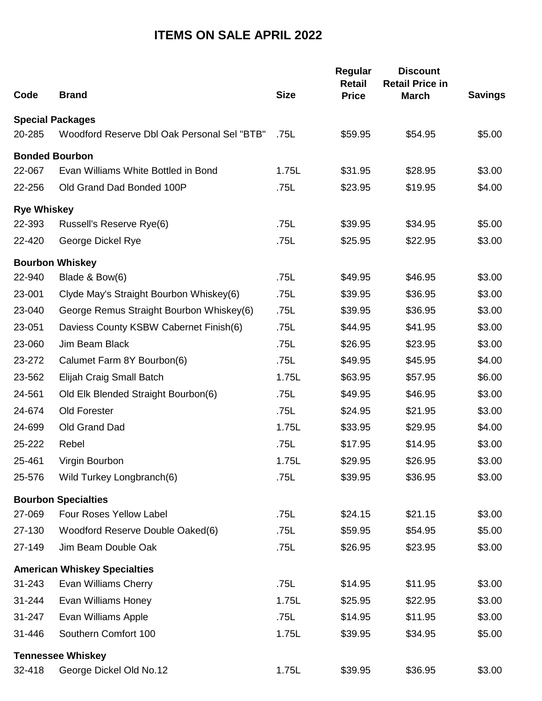## **ITEMS ON SALE APRIL 2022**

| Code                    | <b>Brand</b>                                | <b>Size</b> | Regular<br><b>Retail</b><br><b>Price</b> | <b>Discount</b><br><b>Retail Price in</b><br><b>March</b> | <b>Savings</b> |
|-------------------------|---------------------------------------------|-------------|------------------------------------------|-----------------------------------------------------------|----------------|
| <b>Special Packages</b> |                                             |             |                                          |                                                           |                |
| 20-285                  | Woodford Reserve Dbl Oak Personal Sel "BTB" | .75L        | \$59.95                                  | \$54.95                                                   | \$5.00         |
| <b>Bonded Bourbon</b>   |                                             |             |                                          |                                                           |                |
| 22-067                  | Evan Williams White Bottled in Bond         | 1.75L       | \$31.95                                  | \$28.95                                                   | \$3.00         |
| 22-256                  | Old Grand Dad Bonded 100P                   | .75L        | \$23.95                                  | \$19.95                                                   | \$4.00         |
| <b>Rye Whiskey</b>      |                                             |             |                                          |                                                           |                |
| 22-393                  | Russell's Reserve Rye(6)                    | .75L        | \$39.95                                  | \$34.95                                                   | \$5.00         |
| 22-420                  | George Dickel Rye                           | .75L        | \$25.95                                  | \$22.95                                                   | \$3.00         |
|                         | <b>Bourbon Whiskey</b>                      |             |                                          |                                                           |                |
| 22-940                  | Blade & Bow(6)                              | .75L        | \$49.95                                  | \$46.95                                                   | \$3.00         |
| 23-001                  | Clyde May's Straight Bourbon Whiskey(6)     | .75L        | \$39.95                                  | \$36.95                                                   | \$3.00         |
| 23-040                  | George Remus Straight Bourbon Whiskey(6)    | .75L        | \$39.95                                  | \$36.95                                                   | \$3.00         |
| 23-051                  | Daviess County KSBW Cabernet Finish(6)      | .75L        | \$44.95                                  | \$41.95                                                   | \$3.00         |
| 23-060                  | Jim Beam Black                              | .75L        | \$26.95                                  | \$23.95                                                   | \$3.00         |
| 23-272                  | Calumet Farm 8Y Bourbon(6)                  | .75L        | \$49.95                                  | \$45.95                                                   | \$4.00         |
| 23-562                  | Elijah Craig Small Batch                    | 1.75L       | \$63.95                                  | \$57.95                                                   | \$6.00         |
| 24-561                  | Old Elk Blended Straight Bourbon(6)         | .75L        | \$49.95                                  | \$46.95                                                   | \$3.00         |
| 24-674                  | Old Forester                                | .75L        | \$24.95                                  | \$21.95                                                   | \$3.00         |
| 24-699                  | Old Grand Dad                               | 1.75L       | \$33.95                                  | \$29.95                                                   | \$4.00         |
| 25-222                  | Rebel                                       | .75L        | \$17.95                                  | \$14.95                                                   | \$3.00         |
| 25-461                  | Virgin Bourbon                              | 1.75L       | \$29.95                                  | \$26.95                                                   | \$3.00         |
| 25-576                  | Wild Turkey Longbranch(6)                   | .75L        | \$39.95                                  | \$36.95                                                   | \$3.00         |
|                         | <b>Bourbon Specialties</b>                  |             |                                          |                                                           |                |
| 27-069                  | Four Roses Yellow Label                     | .75L        | \$24.15                                  | \$21.15                                                   | \$3.00         |
| 27-130                  | Woodford Reserve Double Oaked(6)            | .75L        | \$59.95                                  | \$54.95                                                   | \$5.00         |
| 27-149                  | Jim Beam Double Oak                         | .75L        | \$26.95                                  | \$23.95                                                   | \$3.00         |
|                         | <b>American Whiskey Specialties</b>         |             |                                          |                                                           |                |
| 31-243                  | Evan Williams Cherry                        | .75L        | \$14.95                                  | \$11.95                                                   | \$3.00         |
| 31-244                  | Evan Williams Honey                         | 1.75L       | \$25.95                                  | \$22.95                                                   | \$3.00         |
| 31-247                  | Evan Williams Apple                         | .75L        | \$14.95                                  | \$11.95                                                   | \$3.00         |
| 31-446                  | Southern Comfort 100                        | 1.75L       | \$39.95                                  | \$34.95                                                   | \$5.00         |
|                         | <b>Tennessee Whiskey</b>                    |             |                                          |                                                           |                |
| 32-418                  | George Dickel Old No.12                     | 1.75L       | \$39.95                                  | \$36.95                                                   | \$3.00         |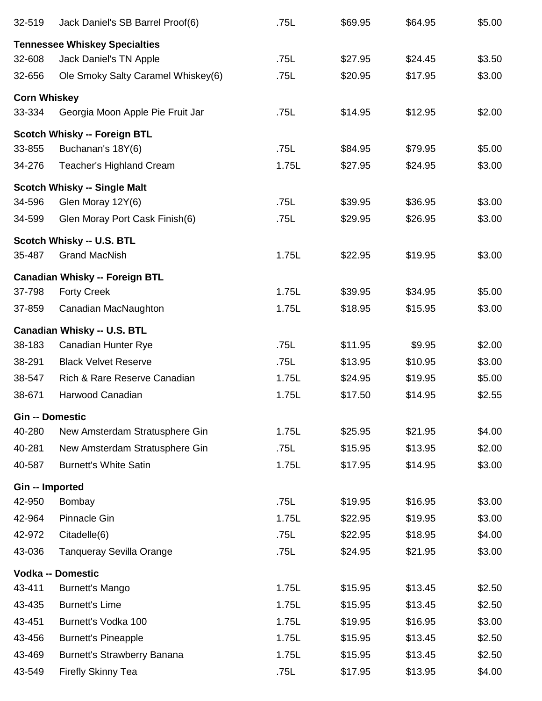| 32-519                 | Jack Daniel's SB Barrel Proof(6)      | .75L  | \$69.95 | \$64.95 | \$5.00 |
|------------------------|---------------------------------------|-------|---------|---------|--------|
|                        | <b>Tennessee Whiskey Specialties</b>  |       |         |         |        |
| 32-608                 | Jack Daniel's TN Apple                | .75L  | \$27.95 | \$24.45 | \$3.50 |
| 32-656                 | Ole Smoky Salty Caramel Whiskey(6)    | .75L  | \$20.95 | \$17.95 | \$3.00 |
| <b>Corn Whiskey</b>    |                                       |       |         |         |        |
| 33-334                 | Georgia Moon Apple Pie Fruit Jar      | .75L  | \$14.95 | \$12.95 | \$2.00 |
|                        | <b>Scotch Whisky -- Foreign BTL</b>   |       |         |         |        |
| 33-855                 | Buchanan's 18Y(6)                     | .75L  | \$84.95 | \$79.95 | \$5.00 |
| 34-276                 | <b>Teacher's Highland Cream</b>       | 1.75L | \$27.95 | \$24.95 | \$3.00 |
|                        | <b>Scotch Whisky -- Single Malt</b>   |       |         |         |        |
| 34-596                 | Glen Moray 12Y(6)                     | .75L  | \$39.95 | \$36.95 | \$3.00 |
| 34-599                 | Glen Moray Port Cask Finish(6)        | .75L  | \$29.95 | \$26.95 | \$3.00 |
|                        | Scotch Whisky -- U.S. BTL             |       |         |         |        |
| 35-487                 | <b>Grand MacNish</b>                  | 1.75L | \$22.95 | \$19.95 | \$3.00 |
|                        | <b>Canadian Whisky -- Foreign BTL</b> |       |         |         |        |
| 37-798                 | <b>Forty Creek</b>                    | 1.75L | \$39.95 | \$34.95 | \$5.00 |
| 37-859                 | Canadian MacNaughton                  | 1.75L | \$18.95 | \$15.95 | \$3.00 |
|                        | <b>Canadian Whisky -- U.S. BTL</b>    |       |         |         |        |
| 38-183                 | Canadian Hunter Rye                   | .75L  | \$11.95 | \$9.95  | \$2.00 |
| 38-291                 | <b>Black Velvet Reserve</b>           | .75L  | \$13.95 | \$10.95 | \$3.00 |
| 38-547                 | Rich & Rare Reserve Canadian          | 1.75L | \$24.95 | \$19.95 | \$5.00 |
| 38-671                 | Harwood Canadian                      | 1.75L | \$17.50 | \$14.95 | \$2.55 |
| <b>Gin -- Domestic</b> |                                       |       |         |         |        |
| 40-280                 | New Amsterdam Stratusphere Gin        | 1.75L | \$25.95 | \$21.95 | \$4.00 |
| 40-281                 | New Amsterdam Stratusphere Gin        | .75L  | \$15.95 | \$13.95 | \$2.00 |
| 40-587                 | <b>Burnett's White Satin</b>          | 1.75L | \$17.95 | \$14.95 | \$3.00 |
| Gin -- Imported        |                                       |       |         |         |        |
| 42-950                 | Bombay                                | .75L  | \$19.95 | \$16.95 | \$3.00 |
| 42-964                 | <b>Pinnacle Gin</b>                   | 1.75L | \$22.95 | \$19.95 | \$3.00 |
| 42-972                 | Citadelle(6)                          | .75L  | \$22.95 | \$18.95 | \$4.00 |
| 43-036                 | <b>Tanqueray Sevilla Orange</b>       | .75L  | \$24.95 | \$21.95 | \$3.00 |
|                        | <b>Vodka -- Domestic</b>              |       |         |         |        |
| 43-411                 | <b>Burnett's Mango</b>                | 1.75L | \$15.95 | \$13.45 | \$2.50 |
| 43-435                 | <b>Burnett's Lime</b>                 | 1.75L | \$15.95 | \$13.45 | \$2.50 |
| 43-451                 | Burnett's Vodka 100                   | 1.75L | \$19.95 | \$16.95 | \$3.00 |
| 43-456                 | <b>Burnett's Pineapple</b>            | 1.75L | \$15.95 | \$13.45 | \$2.50 |
| 43-469                 | <b>Burnett's Strawberry Banana</b>    | 1.75L | \$15.95 | \$13.45 | \$2.50 |
| 43-549                 | <b>Firefly Skinny Tea</b>             | .75L  | \$17.95 | \$13.95 | \$4.00 |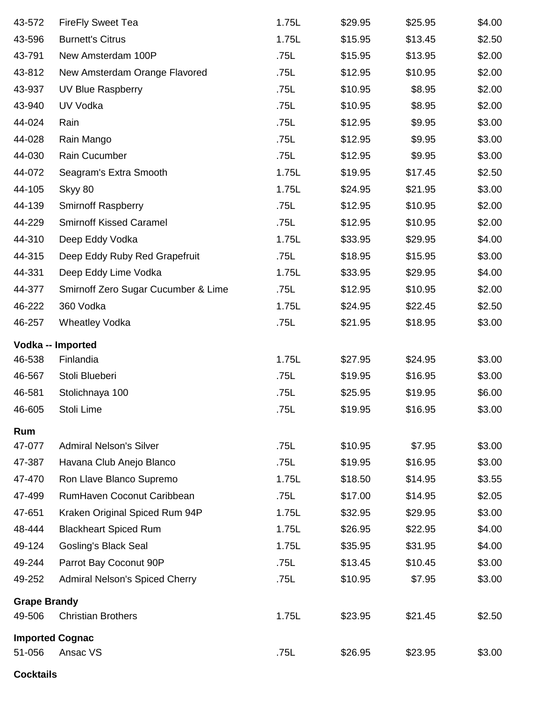| 43-572              | <b>FireFly Sweet Tea</b>              | 1.75L | \$29.95 | \$25.95 | \$4.00 |  |  |  |
|---------------------|---------------------------------------|-------|---------|---------|--------|--|--|--|
| 43-596              | <b>Burnett's Citrus</b>               | 1.75L | \$15.95 | \$13.45 | \$2.50 |  |  |  |
| 43-791              | New Amsterdam 100P                    | .75L  | \$15.95 | \$13.95 | \$2.00 |  |  |  |
| 43-812              | New Amsterdam Orange Flavored         | .75L  | \$12.95 | \$10.95 | \$2.00 |  |  |  |
| 43-937              | UV Blue Raspberry                     | .75L  | \$10.95 | \$8.95  | \$2.00 |  |  |  |
| 43-940              | UV Vodka                              | .75L  | \$10.95 | \$8.95  | \$2.00 |  |  |  |
| 44-024              | Rain                                  | .75L  | \$12.95 | \$9.95  | \$3.00 |  |  |  |
| 44-028              | Rain Mango                            | .75L  | \$12.95 | \$9.95  | \$3.00 |  |  |  |
| 44-030              | Rain Cucumber                         | .75L  | \$12.95 | \$9.95  | \$3.00 |  |  |  |
| 44-072              | Seagram's Extra Smooth                | 1.75L | \$19.95 | \$17.45 | \$2.50 |  |  |  |
| 44-105              | Skyy 80                               | 1.75L | \$24.95 | \$21.95 | \$3.00 |  |  |  |
| 44-139              | <b>Smirnoff Raspberry</b>             | .75L  | \$12.95 | \$10.95 | \$2.00 |  |  |  |
| 44-229              | <b>Smirnoff Kissed Caramel</b>        | .75L  | \$12.95 | \$10.95 | \$2.00 |  |  |  |
| 44-310              | Deep Eddy Vodka                       | 1.75L | \$33.95 | \$29.95 | \$4.00 |  |  |  |
| 44-315              | Deep Eddy Ruby Red Grapefruit         | .75L  | \$18.95 | \$15.95 | \$3.00 |  |  |  |
| 44-331              | Deep Eddy Lime Vodka                  | 1.75L | \$33.95 | \$29.95 | \$4.00 |  |  |  |
| 44-377              | Smirnoff Zero Sugar Cucumber & Lime   | .75L  | \$12.95 | \$10.95 | \$2.00 |  |  |  |
| 46-222              | 360 Vodka                             | 1.75L | \$24.95 | \$22.45 | \$2.50 |  |  |  |
| 46-257              | <b>Wheatley Vodka</b>                 | .75L  | \$21.95 | \$18.95 | \$3.00 |  |  |  |
| Vodka -- Imported   |                                       |       |         |         |        |  |  |  |
| 46-538              | Finlandia                             | 1.75L | \$27.95 | \$24.95 | \$3.00 |  |  |  |
| 46-567              | Stoli Blueberi                        | .75L  | \$19.95 | \$16.95 | \$3.00 |  |  |  |
| 46-581              | Stolichnaya 100                       | .75L  | \$25.95 | \$19.95 | \$6.00 |  |  |  |
| 46-605              | Stoli Lime                            | .75L  | \$19.95 | \$16.95 | \$3.00 |  |  |  |
| Rum                 |                                       |       |         |         |        |  |  |  |
| 47-077              | <b>Admiral Nelson's Silver</b>        | .75L  | \$10.95 | \$7.95  | \$3.00 |  |  |  |
| 47-387              | Havana Club Anejo Blanco              | .75L  | \$19.95 | \$16.95 | \$3.00 |  |  |  |
| 47-470              | Ron Llave Blanco Supremo              | 1.75L | \$18.50 | \$14.95 | \$3.55 |  |  |  |
| 47-499              | RumHaven Coconut Caribbean            | .75L  | \$17.00 | \$14.95 | \$2.05 |  |  |  |
| 47-651              | Kraken Original Spiced Rum 94P        | 1.75L | \$32.95 | \$29.95 | \$3.00 |  |  |  |
| 48-444              | <b>Blackheart Spiced Rum</b>          | 1.75L | \$26.95 | \$22.95 | \$4.00 |  |  |  |
| 49-124              | <b>Gosling's Black Seal</b>           | 1.75L | \$35.95 | \$31.95 | \$4.00 |  |  |  |
| 49-244              | Parrot Bay Coconut 90P                | .75L  | \$13.45 | \$10.45 | \$3.00 |  |  |  |
| 49-252              | <b>Admiral Nelson's Spiced Cherry</b> | .75L  | \$10.95 | \$7.95  | \$3.00 |  |  |  |
| <b>Grape Brandy</b> |                                       |       |         |         |        |  |  |  |
| 49-506              | <b>Christian Brothers</b>             | 1.75L | \$23.95 | \$21.45 | \$2.50 |  |  |  |
|                     | <b>Imported Cognac</b>                |       |         |         |        |  |  |  |
| 51-056              | Ansac VS                              | .75L  | \$26.95 | \$23.95 | \$3.00 |  |  |  |

**Cocktails**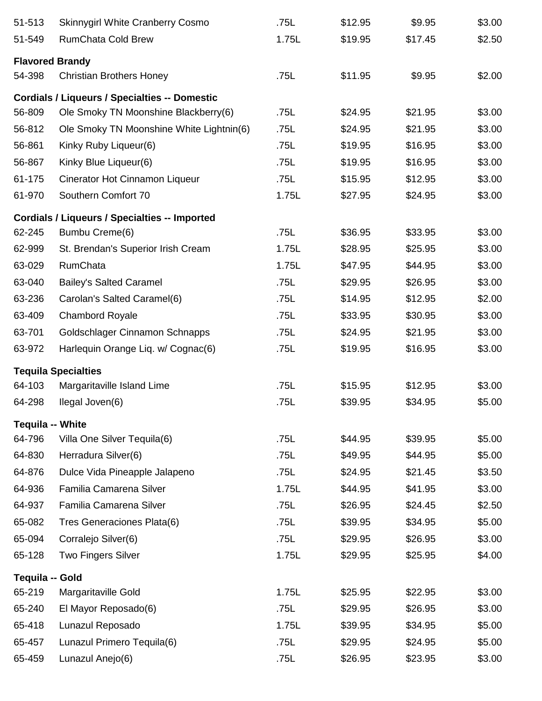| 51-513          | <b>Skinnygirl White Cranberry Cosmo</b>              | .75L  | \$12.95 | \$9.95  | \$3.00 |
|-----------------|------------------------------------------------------|-------|---------|---------|--------|
| 51-549          | <b>RumChata Cold Brew</b>                            | 1.75L | \$19.95 | \$17.45 | \$2.50 |
|                 | <b>Flavored Brandy</b>                               |       |         |         |        |
| 54-398          | <b>Christian Brothers Honey</b>                      | .75L  | \$11.95 | \$9.95  | \$2.00 |
|                 | <b>Cordials / Liqueurs / Specialties -- Domestic</b> |       |         |         |        |
| 56-809          | Ole Smoky TN Moonshine Blackberry(6)                 | .75L  | \$24.95 | \$21.95 | \$3.00 |
| 56-812          | Ole Smoky TN Moonshine White Lightnin(6)             | .75L  | \$24.95 | \$21.95 | \$3.00 |
| 56-861          | Kinky Ruby Liqueur(6)                                | .75L  | \$19.95 | \$16.95 | \$3.00 |
| 56-867          | Kinky Blue Liqueur(6)                                | .75L  | \$19.95 | \$16.95 | \$3.00 |
| 61-175          | Cinerator Hot Cinnamon Liqueur                       | .75L  | \$15.95 | \$12.95 | \$3.00 |
| 61-970          | Southern Comfort 70                                  | 1.75L | \$27.95 | \$24.95 | \$3.00 |
|                 | <b>Cordials / Liqueurs / Specialties -- Imported</b> |       |         |         |        |
| 62-245          | Bumbu Creme(6)                                       | .75L  | \$36.95 | \$33.95 | \$3.00 |
| 62-999          | St. Brendan's Superior Irish Cream                   | 1.75L | \$28.95 | \$25.95 | \$3.00 |
| 63-029          | <b>RumChata</b>                                      | 1.75L | \$47.95 | \$44.95 | \$3.00 |
| 63-040          | <b>Bailey's Salted Caramel</b>                       | .75L  | \$29.95 | \$26.95 | \$3.00 |
| 63-236          | Carolan's Salted Caramel(6)                          | .75L  | \$14.95 | \$12.95 | \$2.00 |
| 63-409          | <b>Chambord Royale</b>                               | .75L  | \$33.95 | \$30.95 | \$3.00 |
| 63-701          | Goldschlager Cinnamon Schnapps                       | .75L  | \$24.95 | \$21.95 | \$3.00 |
| 63-972          | Harlequin Orange Liq. w/ Cognac(6)                   | .75L  | \$19.95 | \$16.95 | \$3.00 |
|                 | <b>Tequila Specialties</b>                           |       |         |         |        |
| 64-103          | Margaritaville Island Lime                           | .75L  | \$15.95 | \$12.95 | \$3.00 |
| 64-298          | Ilegal Joven(6)                                      | .75L  | \$39.95 | \$34.95 | \$5.00 |
|                 | <b>Tequila -- White</b>                              |       |         |         |        |
| 64-796          | Villa One Silver Tequila(6)                          | .75L  | \$44.95 | \$39.95 | \$5.00 |
| 64-830          | Herradura Silver(6)                                  | .75L  | \$49.95 | \$44.95 | \$5.00 |
| 64-876          | Dulce Vida Pineapple Jalapeno                        | .75L  | \$24.95 | \$21.45 | \$3.50 |
| 64-936          | Familia Camarena Silver                              | 1.75L | \$44.95 | \$41.95 | \$3.00 |
| 64-937          | Familia Camarena Silver                              | .75L  | \$26.95 | \$24.45 | \$2.50 |
| 65-082          | Tres Generaciones Plata(6)                           | .75L  | \$39.95 | \$34.95 | \$5.00 |
| 65-094          | Corralejo Silver(6)                                  | .75L  | \$29.95 | \$26.95 | \$3.00 |
| 65-128          | <b>Two Fingers Silver</b>                            | 1.75L | \$29.95 | \$25.95 | \$4.00 |
| Tequila -- Gold |                                                      |       |         |         |        |
| 65-219          | Margaritaville Gold                                  | 1.75L | \$25.95 | \$22.95 | \$3.00 |
| 65-240          | El Mayor Reposado(6)                                 | .75L  | \$29.95 | \$26.95 | \$3.00 |
| 65-418          | Lunazul Reposado                                     | 1.75L | \$39.95 | \$34.95 | \$5.00 |
| 65-457          | Lunazul Primero Tequila(6)                           | .75L  | \$29.95 | \$24.95 | \$5.00 |
| 65-459          | Lunazul Anejo(6)                                     | .75L  | \$26.95 | \$23.95 | \$3.00 |